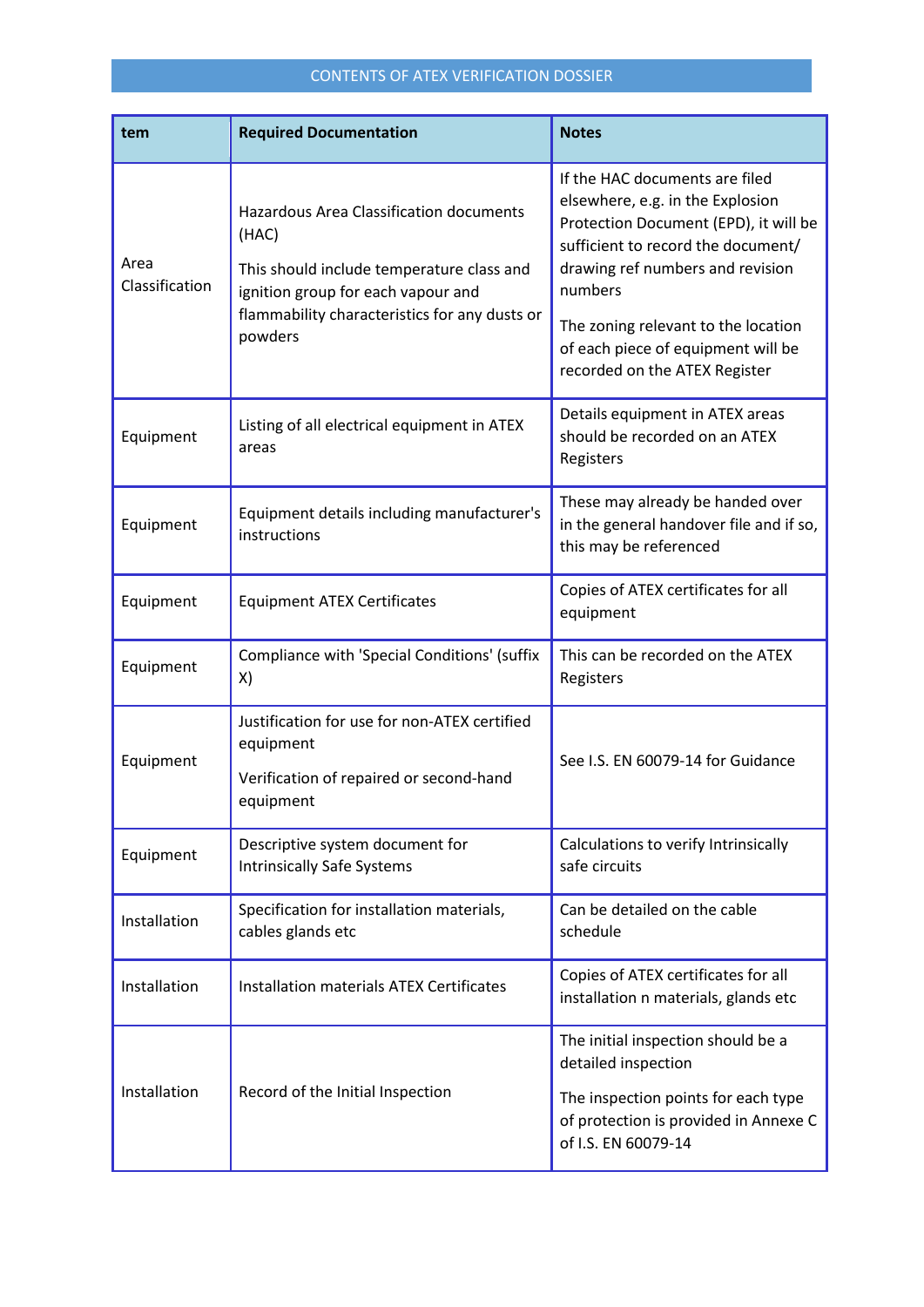## CONTENTS OF ATEX VERIFICATION DOSSIER

| tem                    | <b>Required Documentation</b>                                                                                                                                                                          | <b>Notes</b>                                                                                                                                                                                                                                                                                                   |
|------------------------|--------------------------------------------------------------------------------------------------------------------------------------------------------------------------------------------------------|----------------------------------------------------------------------------------------------------------------------------------------------------------------------------------------------------------------------------------------------------------------------------------------------------------------|
| Area<br>Classification | <b>Hazardous Area Classification documents</b><br>(HAC)<br>This should include temperature class and<br>ignition group for each vapour and<br>flammability characteristics for any dusts or<br>powders | If the HAC documents are filed<br>elsewhere, e.g. in the Explosion<br>Protection Document (EPD), it will be<br>sufficient to record the document/<br>drawing ref numbers and revision<br>numbers<br>The zoning relevant to the location<br>of each piece of equipment will be<br>recorded on the ATEX Register |
| Equipment              | Listing of all electrical equipment in ATEX<br>areas                                                                                                                                                   | Details equipment in ATEX areas<br>should be recorded on an ATEX<br>Registers                                                                                                                                                                                                                                  |
| Equipment              | Equipment details including manufacturer's<br>instructions                                                                                                                                             | These may already be handed over<br>in the general handover file and if so,<br>this may be referenced                                                                                                                                                                                                          |
| Equipment              | <b>Equipment ATEX Certificates</b>                                                                                                                                                                     | Copies of ATEX certificates for all<br>equipment                                                                                                                                                                                                                                                               |
| Equipment              | Compliance with 'Special Conditions' (suffix<br>X)                                                                                                                                                     | This can be recorded on the ATEX<br>Registers                                                                                                                                                                                                                                                                  |
| Equipment              | Justification for use for non-ATEX certified<br>equipment<br>Verification of repaired or second-hand<br>equipment                                                                                      | See I.S. EN 60079-14 for Guidance                                                                                                                                                                                                                                                                              |
| Equipment              | Descriptive system document for<br><b>Intrinsically Safe Systems</b>                                                                                                                                   | Calculations to verify Intrinsically<br>safe circuits                                                                                                                                                                                                                                                          |
| Installation           | Specification for installation materials,<br>cables glands etc                                                                                                                                         | Can be detailed on the cable<br>schedule                                                                                                                                                                                                                                                                       |
| Installation           | <b>Installation materials ATEX Certificates</b>                                                                                                                                                        | Copies of ATEX certificates for all<br>installation n materials, glands etc                                                                                                                                                                                                                                    |
| Installation           | Record of the Initial Inspection                                                                                                                                                                       | The initial inspection should be a<br>detailed inspection<br>The inspection points for each type<br>of protection is provided in Annexe C<br>of I.S. EN 60079-14                                                                                                                                               |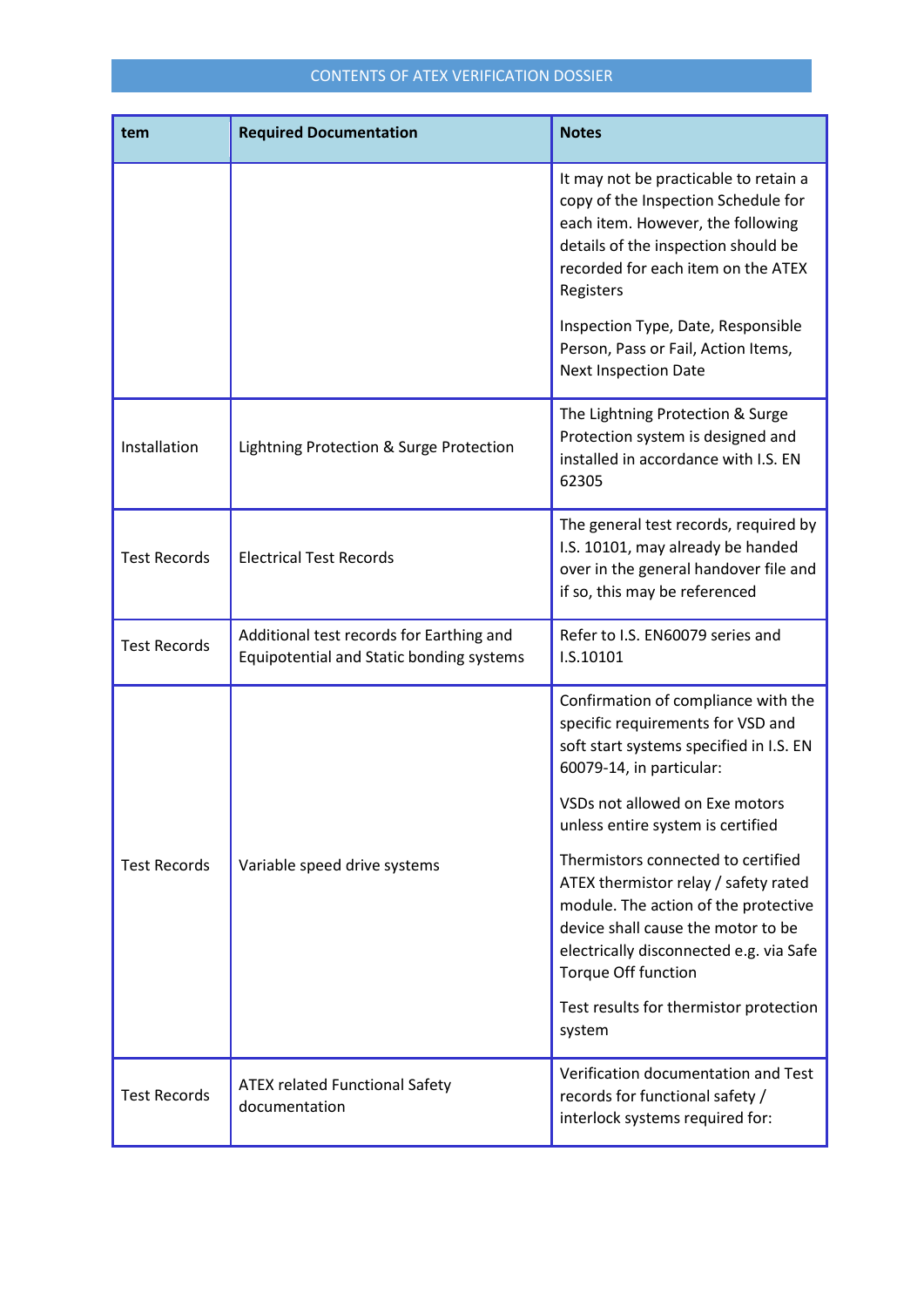## CONTENTS OF ATEX VERIFICATION DOSSIER

| tem                 | <b>Required Documentation</b>                                                        | <b>Notes</b>                                                                                                                                                                                                                                                         |
|---------------------|--------------------------------------------------------------------------------------|----------------------------------------------------------------------------------------------------------------------------------------------------------------------------------------------------------------------------------------------------------------------|
|                     |                                                                                      | It may not be practicable to retain a<br>copy of the Inspection Schedule for<br>each item. However, the following<br>details of the inspection should be<br>recorded for each item on the ATEX<br>Registers                                                          |
|                     |                                                                                      | Inspection Type, Date, Responsible<br>Person, Pass or Fail, Action Items,<br><b>Next Inspection Date</b>                                                                                                                                                             |
| Installation        | Lightning Protection & Surge Protection                                              | The Lightning Protection & Surge<br>Protection system is designed and<br>installed in accordance with I.S. EN<br>62305                                                                                                                                               |
| <b>Test Records</b> | <b>Electrical Test Records</b>                                                       | The general test records, required by<br>I.S. 10101, may already be handed<br>over in the general handover file and<br>if so, this may be referenced                                                                                                                 |
| <b>Test Records</b> | Additional test records for Earthing and<br>Equipotential and Static bonding systems | Refer to I.S. EN60079 series and<br>I.S.10101                                                                                                                                                                                                                        |
|                     |                                                                                      | Confirmation of compliance with the<br>specific requirements for VSD and<br>soft start systems specified in I.S. EN<br>60079-14, in particular:<br>VSDs not allowed on Exe motors<br>unless entire system is certified                                               |
| <b>Test Records</b> | Variable speed drive systems                                                         | Thermistors connected to certified<br>ATEX thermistor relay / safety rated<br>module. The action of the protective<br>device shall cause the motor to be<br>electrically disconnected e.g. via Safe<br>Torque Off function<br>Test results for thermistor protection |
|                     |                                                                                      | system                                                                                                                                                                                                                                                               |
| <b>Test Records</b> | <b>ATEX related Functional Safety</b><br>documentation                               | Verification documentation and Test<br>records for functional safety /<br>interlock systems required for:                                                                                                                                                            |